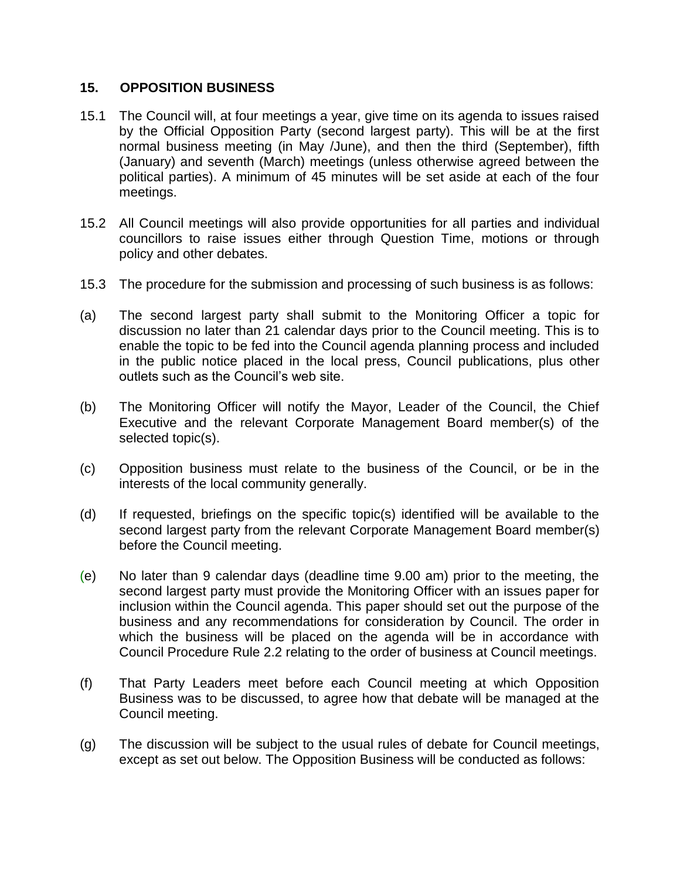## **15. OPPOSITION BUSINESS**

- 15.1 The Council will, at four meetings a year, give time on its agenda to issues raised by the Official Opposition Party (second largest party). This will be at the first normal business meeting (in May /June), and then the third (September), fifth (January) and seventh (March) meetings (unless otherwise agreed between the political parties). A minimum of 45 minutes will be set aside at each of the four meetings.
- 15.2 All Council meetings will also provide opportunities for all parties and individual councillors to raise issues either through Question Time, motions or through policy and other debates.
- 15.3 The procedure for the submission and processing of such business is as follows:
- (a) The second largest party shall submit to the Monitoring Officer a topic for discussion no later than 21 calendar days prior to the Council meeting. This is to enable the topic to be fed into the Council agenda planning process and included in the public notice placed in the local press, Council publications, plus other outlets such as the Council's web site.
- (b) The Monitoring Officer will notify the Mayor, Leader of the Council, the Chief Executive and the relevant Corporate Management Board member(s) of the selected topic(s).
- (c) Opposition business must relate to the business of the Council, or be in the interests of the local community generally.
- (d) If requested, briefings on the specific topic(s) identified will be available to the second largest party from the relevant Corporate Management Board member(s) before the Council meeting.
- (e) No later than 9 calendar days (deadline time 9.00 am) prior to the meeting, the second largest party must provide the Monitoring Officer with an issues paper for inclusion within the Council agenda. This paper should set out the purpose of the business and any recommendations for consideration by Council. The order in which the business will be placed on the agenda will be in accordance with Council Procedure Rule 2.2 relating to the order of business at Council meetings.
- (f) That Party Leaders meet before each Council meeting at which Opposition Business was to be discussed, to agree how that debate will be managed at the Council meeting.
- (g) The discussion will be subject to the usual rules of debate for Council meetings, except as set out below. The Opposition Business will be conducted as follows: